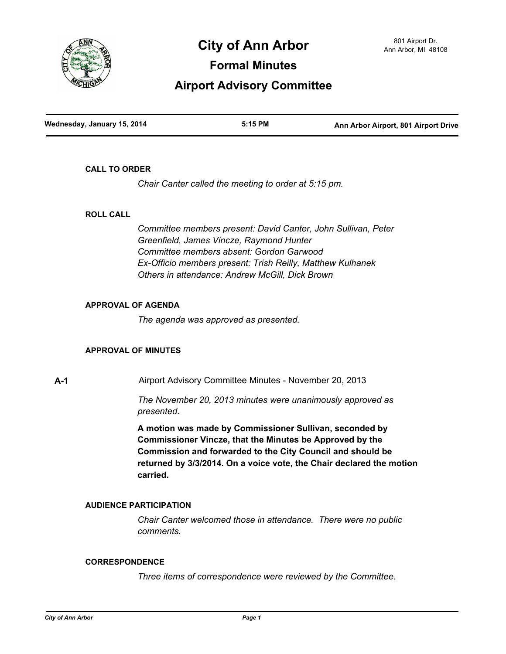

# **City of Ann Arbor** 801 Airport Dr. **City of Ann Arbor**

**Formal Minutes**

## **Airport Advisory Committee**

| Wednesday, January 15, 2014 | 5:15 PM | Ann Arbor Airport, 801 Airport Drive |
|-----------------------------|---------|--------------------------------------|
|                             |         |                                      |

#### **CALL TO ORDER**

*Chair Canter called the meeting to order at 5:15 pm.*

#### **ROLL CALL**

*Committee members present: David Canter, John Sullivan, Peter Greenfield, James Vincze, Raymond Hunter Committee members absent: Gordon Garwood Ex-Officio members present: Trish Reilly, Matthew Kulhanek Others in attendance: Andrew McGill, Dick Brown*

### **APPROVAL OF AGENDA**

*The agenda was approved as presented.*

#### **APPROVAL OF MINUTES**

**A-1** Airport Advisory Committee Minutes - November 20, 2013

*The November 20, 2013 minutes were unanimously approved as presented.*

**A motion was made by Commissioner Sullivan, seconded by Commissioner Vincze, that the Minutes be Approved by the Commission and forwarded to the City Council and should be returned by 3/3/2014. On a voice vote, the Chair declared the motion carried.**

#### **AUDIENCE PARTICIPATION**

*Chair Canter welcomed those in attendance. There were no public comments.*

#### **CORRESPONDENCE**

*Three items of correspondence were reviewed by the Committee.*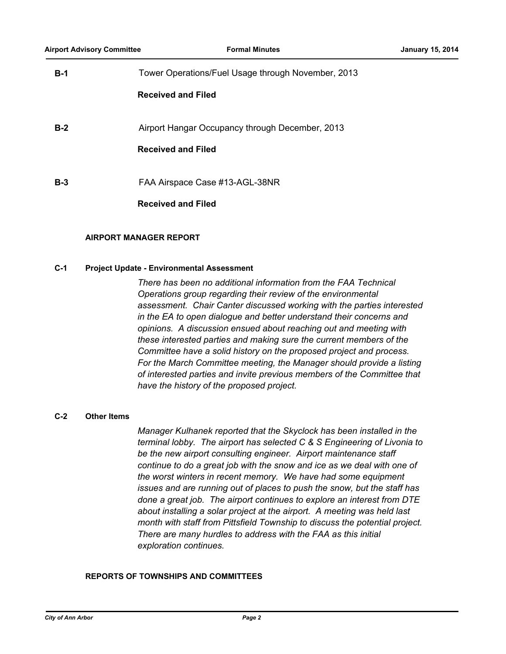| $B-1$ | Tower Operations/Fuel Usage through November, 2013 |
|-------|----------------------------------------------------|
|       | <b>Received and Filed</b>                          |
| $B-2$ | Airport Hangar Occupancy through December, 2013    |
|       | <b>Received and Filed</b>                          |
| $B-3$ | FAA Airspace Case #13-AGL-38NR                     |
|       | <b>Received and Filed</b>                          |

#### **AIRPORT MANAGER REPORT**

#### **C-1 Project Update - Environmental Assessment**

*There has been no additional information from the FAA Technical Operations group regarding their review of the environmental assessment. Chair Canter discussed working with the parties interested in the EA to open dialogue and better understand their concerns and opinions. A discussion ensued about reaching out and meeting with these interested parties and making sure the current members of the Committee have a solid history on the proposed project and process. For the March Committee meeting, the Manager should provide a listing of interested parties and invite previous members of the Committee that have the history of the proposed project.*

#### **C-2 Other Items**

*Manager Kulhanek reported that the Skyclock has been installed in the terminal lobby. The airport has selected C & S Engineering of Livonia to be the new airport consulting engineer. Airport maintenance staff continue to do a great job with the snow and ice as we deal with one of the worst winters in recent memory. We have had some equipment issues and are running out of places to push the snow, but the staff has done a great job. The airport continues to explore an interest from DTE about installing a solar project at the airport. A meeting was held last month with staff from Pittsfield Township to discuss the potential project. There are many hurdles to address with the FAA as this initial exploration continues.*

#### **REPORTS OF TOWNSHIPS AND COMMITTEES**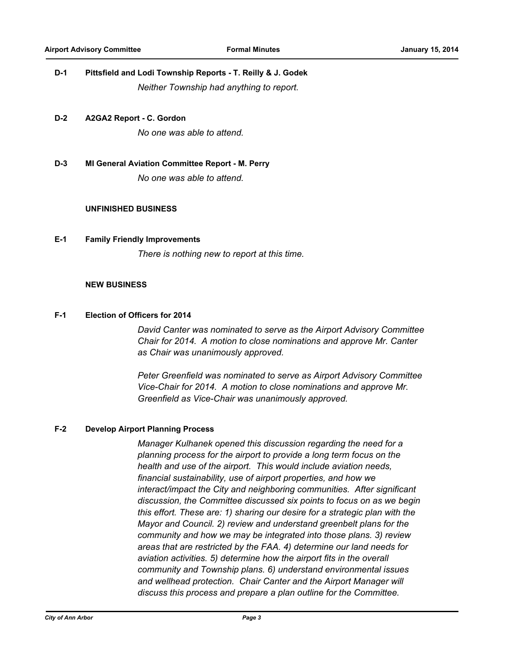## **D-1 Pittsfield and Lodi Township Reports - T. Reilly & J. Godek** *Neither Township had anything to report.*

**D-2 A2GA2 Report - C. Gordon**

*No one was able to attend.*

**D-3 MI General Aviation Committee Report - M. Perry**

*No one was able to attend.*

#### **UNFINISHED BUSINESS**

#### **E-1 Family Friendly Improvements**

*There is nothing new to report at this time.*

#### **NEW BUSINESS**

#### **F-1 Election of Officers for 2014**

*David Canter was nominated to serve as the Airport Advisory Committee Chair for 2014. A motion to close nominations and approve Mr. Canter as Chair was unanimously approved.*

*Peter Greenfield was nominated to serve as Airport Advisory Committee Vice-Chair for 2014. A motion to close nominations and approve Mr. Greenfield as Vice-Chair was unanimously approved.*

#### **F-2 Develop Airport Planning Process**

*Manager Kulhanek opened this discussion regarding the need for a planning process for the airport to provide a long term focus on the health and use of the airport. This would include aviation needs, financial sustainability, use of airport properties, and how we interact/impact the City and neighboring communities. After significant discussion, the Committee discussed six points to focus on as we begin this effort. These are: 1) sharing our desire for a strategic plan with the Mayor and Council. 2) review and understand greenbelt plans for the community and how we may be integrated into those plans. 3) review areas that are restricted by the FAA. 4) determine our land needs for aviation activities. 5) determine how the airport fits in the overall community and Township plans. 6) understand environmental issues and wellhead protection. Chair Canter and the Airport Manager will discuss this process and prepare a plan outline for the Committee.*